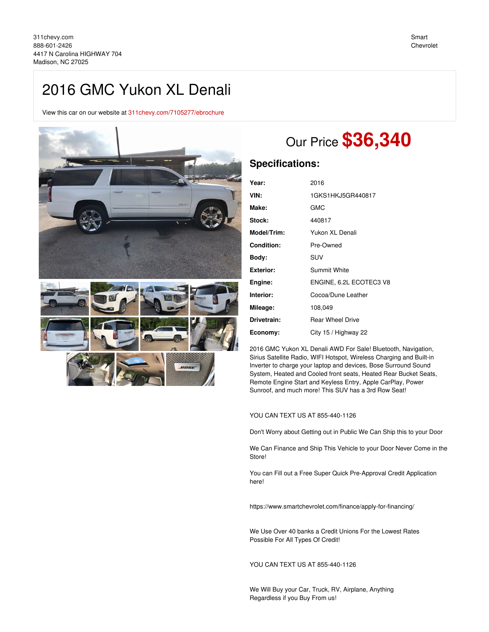## 2016 GMC Yukon XL Denali

View this car on our website at [311chevy.com/7105277/ebrochure](https://311chevy.com/vehicle/7105277/2016-gmc-yukon-xl-denali-madison-nc-27025/7105277/ebrochure)





# Our Price **\$36,340**

## **Specifications:**

| 2016                    |
|-------------------------|
| 1GKS1HKJ5GR440817       |
| <b>GMC</b>              |
| 440817                  |
| Yukon XL Denali         |
| Pre-Owned               |
| <b>SUV</b>              |
| <b>Summit White</b>     |
| ENGINE, 6.2L ECOTEC3 V8 |
| Cocoa/Dune Leather      |
| 108,049                 |
| <b>Rear Wheel Drive</b> |
| City 15 / Highway 22    |
|                         |

2016 GMC Yukon XL Denali AWD For Sale! Bluetooth, Navigation, Sirius Satellite Radio, WIFI Hotspot, Wireless Charging and Built-in Inverter to charge your laptop and devices, Bose Surround Sound System, Heated and Cooled front seats, Heated Rear Bucket Seats, Remote Engine Start and Keyless Entry, Apple CarPlay, Power Sunroof, and much more! This SUV has a 3rd Row Seat!

#### YOU CAN TEXT US AT 855-440-1126

Don't Worry about Getting out in Public We Can Ship this to your Door

We Can Finance and Ship This Vehicle to your Door Never Come in the Store!

You can Fill out a Free Super Quick Pre-Approval Credit Application here!

https://www.smartchevrolet.com/finance/apply-for-financing/

We Use Over 40 banks a Credit Unions For the Lowest Rates Possible For All Types Of Credit!

#### YOU CAN TEXT US AT 855-440-1126

We Will Buy your Car, Truck, RV, Airplane, Anything Regardless if you Buy From us!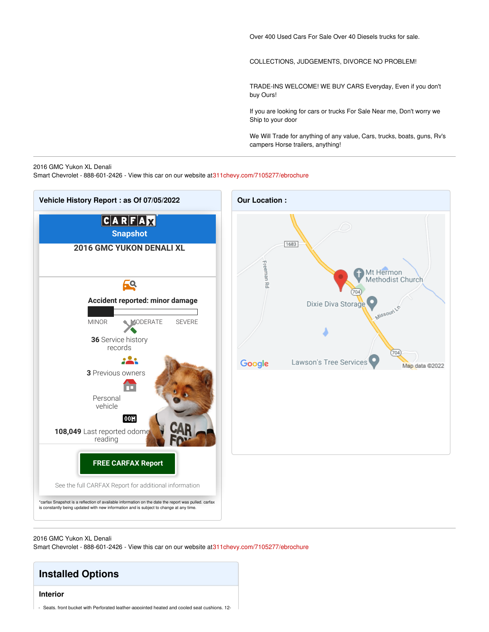Over 400 Used Cars For Sale Over 40 Diesels trucks for sale.

COLLECTIONS, JUDGEMENTS, DIVORCE NO PROBLEM!

TRADE-INS WELCOME! WE BUY CARS Everyday, Even if you don't buy Ours!

If you are looking for cars or trucks For Sale Near me, Don't worry we Ship to your door

We Will Trade for anything of any value, Cars, trucks, boats, guns, Rv's campers Horse trailers, anything!

#### 2016 GMC Yukon XL Denali

Smart Chevrolet - 888-601-2426 - View this car on our website a[t311chevy.com/7105277/ebrochure](https://311chevy.com/vehicle/7105277/2016-gmc-yukon-xl-denali-madison-nc-27025/7105277/ebrochure)



2016 GMC Yukon XL Denali Smart Chevrolet - 888-601-2426 - View this car on our website a[t311chevy.com/7105277/ebrochure](https://311chevy.com/vehicle/7105277/2016-gmc-yukon-xl-denali-madison-nc-27025/7105277/ebrochure)

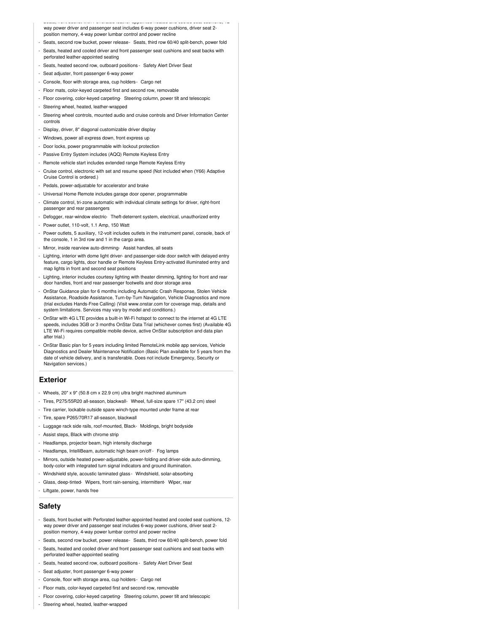- Seats, front bucket with Perforated leather-appointed heated and cooled seat cushions, 12 way power driver and passenger seat includes 6-way power cushions, driver seat 2 position memory, 4-way power lumbar control and power recline

- Seats, second row bucket, power release- Seats, third row 60/40 split-bench, power fold
- Seats, heated and cooled driver and front passenger seat cushions and seat backs with perforated leather-appointed seating
- Seats, heated second row, outboard positions Safety Alert Driver Seat
- Seat adjuster, front passenger 6-way power
- Console, floor with storage area, cup holders- Cargo net
- Floor mats, color-keyed carpeted first and second row, removable
- Floor covering, color-keyed carpeting- Steering column, power tilt and telescopic
- Steering wheel, heated, leather-wrapped
- Steering wheel controls, mounted audio and cruise controls and Driver Information Center controls
- Display, driver, 8" diagonal customizable driver display
- Windows, power all express down, front express up
- Door locks, power programmable with lockout protection
- Passive Entry System includes (AQQ) Remote Keyless Entry
- Remote vehicle start includes extended range Remote Keyless Entry
- Cruise control, electronic with set and resume speed (Not included when (Y66) Adaptive Cruise Control is ordered.)
- Pedals, power-adjustable for accelerator and brake
- Universal Home Remote includes garage door opener, programmable
- Climate control, tri-zone automatic with individual climate settings for driver, right-front passenger and rear passengers
- Defogger, rear-window electric- Theft-deterrent system, electrical, unauthorized entry
- Power outlet, 110-volt, 1.1 Amp, 150 Watt
- Power outlets, 5 auxiliary, 12-volt includes outlets in the instrument panel, console, back of the console, 1 in 3rd row and 1 in the cargo area.
- Mirror, inside rearview auto-dimming- Assist handles, all seats
- Lighting, interior with dome light driver- and passenger-side door switch with delayed entry feature, cargo lights, door handle or Remote Keyless Entry-activated illuminated entry and map lights in front and second seat positions
- Lighting, interior includes courtesy lighting with theater dimming, lighting for front and rear door handles, front and rear passenger footwells and door storage area
- OnStar Guidance plan for 6 months including Automatic Crash Response, Stolen Vehicle Assistance, Roadside Assistance, Turn-by-Turn Navigation, Vehicle Diagnostics and more (trial excludes Hands-Free Calling) (Visit www.onstar.com for coverage map, details and system limitations. Services may vary by model and conditions.)
- OnStar with 4G LTE provides a built-in Wi-Fi hotspot to connect to the internet at 4G LTE speeds, includes 3GB or 3 months OnStar Data Trial (whichever comes first) (Available 4G LTE Wi-Fi requires compatible mobile device, active OnStar subscription and data plan after trial.)
- OnStar Basic plan for 5 years including limited RemoteLink mobile app services, Vehicle Diagnostics and Dealer Maintenance Notification (Basic Plan available for 5 years from the date of vehicle delivery, and is transferable. Does not include Emergency, Security or Navigation services.)

#### **Exterior**

- Wheels, 20" x 9" (50.8 cm x 22.9 cm) ultra bright machined aluminum
- Tires, P275/55R20 all-season, blackwall- Wheel, full-size spare 17" (43.2 cm) steel
- Tire carrier, lockable outside spare winch-type mounted under frame at rear
- Tire, spare P265/70R17 all-season, blackwall
- Luggage rack side rails, roof-mounted, Black- Moldings, bright bodyside
- Assist steps, Black with chrome strip
- Headlamps, projector beam, high intensity discharge
- Headlamps, IntelliBeam, automatic high beam on/off Fog lamps
- Mirrors, outside heated power-adjustable, power-folding and driver-side auto-dimming, body-color with integrated turn signal indicators and ground illumination.
- Windshield style, acoustic laminated glass Windshield, solar-absorbing
- Glass, deep-tinted- Wipers, front rain-sensing, intermittent- Wiper, rear
- Liftgate, power, hands free

#### **Safety**

- Seats, front bucket with Perforated leather-appointed heated and cooled seat cushions, 12 way power driver and passenger seat includes 6-way power cushions, driver seat 2 position memory, 4-way power lumbar control and power recline
- Seats, second row bucket, power release- Seats, third row 60/40 split-bench, power fold
- Seats, heated and cooled driver and front passenger seat cushions and seat backs with perforated leather-appointed seating
- Seats, heated second row, outboard positions Safety Alert Driver Seat
- Seat adjuster, front passenger 6-way power
- Console, floor with storage area, cup holders- Cargo net
- Floor mats, color-keyed carpeted first and second row, removable
- Floor covering, color-keyed carpeting- Steering column, power tilt and telescopic
- Steering wheel, heated, leather-wrapped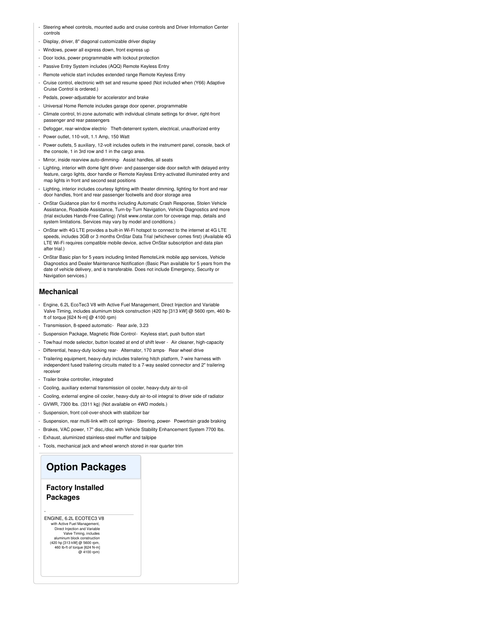- Steering wheel controls, mounted audio and cruise controls and Driver Information Center controls
- Display, driver, 8" diagonal customizable driver display
- Windows, power all express down, front express up
- Door locks, power programmable with lockout protection
- Passive Entry System includes (AQQ) Remote Keyless Entry
- Remote vehicle start includes extended range Remote Keyless Entry
- Cruise control, electronic with set and resume speed (Not included when (Y66) Adaptive Cruise Control is ordered.)
- Pedals, power-adjustable for accelerator and brake
- Universal Home Remote includes garage door opener, programmable
- Climate control, tri-zone automatic with individual climate settings for driver, right-front passenger and rear passengers
- Defogger, rear-window electric- Theft-deterrent system, electrical, unauthorized entry
- Power outlet, 110-volt, 1.1 Amp, 150 Watt
- Power outlets, 5 auxiliary, 12-volt includes outlets in the instrument panel, console, back of the console, 1 in 3rd row and 1 in the cargo area.
- Mirror, inside rearview auto-dimming- Assist handles, all seats
- Lighting, interior with dome light driver- and passenger-side door switch with delayed entry feature, cargo lights, door handle or Remote Keyless Entry-activated illuminated entry and map lights in front and second seat positions
- Lighting, interior includes courtesy lighting with theater dimming, lighting for front and rear door handles, front and rear passenger footwells and door storage area
- OnStar Guidance plan for 6 months including Automatic Crash Response, Stolen Vehicle Assistance, Roadside Assistance, Turn-by-Turn Navigation, Vehicle Diagnostics and more (trial excludes Hands-Free Calling) (Visit www.onstar.com for coverage map, details and system limitations. Services may vary by model and conditions.)
- OnStar with 4G LTE provides a built-in Wi-Fi hotspot to connect to the internet at 4G LTE speeds, includes 3GB or 3 months OnStar Data Trial (whichever comes first) (Available 4G LTE Wi-Fi requires compatible mobile device, active OnStar subscription and data plan after trial.)
- OnStar Basic plan for 5 years including limited RemoteLink mobile app services, Vehicle Diagnostics and Dealer Maintenance Notification (Basic Plan available for 5 years from the date of vehicle delivery, and is transferable. Does not include Emergency, Security or Navigation services.)

#### **Mechanical**

- Engine, 6.2L EcoTec3 V8 with Active Fuel Management, Direct Injection and Variable Valve Timing, includes aluminum block construction (420 hp [313 kW] @ 5600 rpm, 460 lbft of torque [624 N-m] @ 4100 rpm)
- Transmission, 8-speed automatic- Rear axle, 3.23
- Suspension Package, Magnetic Ride Control- Keyless start, push button start
- Tow/haul mode selector, button located at end of shift lever Air cleaner, high-capacity
- Differential, heavy-duty locking rear- Alternator, 170 amps- Rear wheel drive
- Trailering equipment, heavy-duty includes trailering hitch platform, 7-wire harness with independent fused trailering circuits mated to a 7-way sealed connector and 2" trailering receiver
- Trailer brake controller, integrated
- Cooling, auxiliary external transmission oil cooler, heavy-duty air-to-oil
- Cooling, external engine oil cooler, heavy-duty air-to-oil integral to driver side of radiator
- GVWR, 7300 lbs. (3311 kg) (Not available on 4WD models.)
- Suspension, front coil-over-shock with stabilizer bar
- Suspension, rear multi-link with coil springs- Steering, power- Powertrain grade braking
- Brakes, VAC power, 17" disc,/disc with Vehicle Stability Enhancement System 7700 lbs.
- Exhaust, aluminized stainless-steel muffler and tailpipe
- Tools, mechanical jack and wheel wrench stored in rear quarter trim

### **Option Packages**

#### **Factory Installed Packages**

-

ENGINE, 6.2L ECOTEC3 V8<br>with Active Fuel Management, with Active Fuel Management, Direct Injection and Variable Valve Timing, includes aluminum block construction (420 hp [313 kW] @ 5600 rpm, 460 lb-ft of torque [624 N-m] @ 4100 rpm)